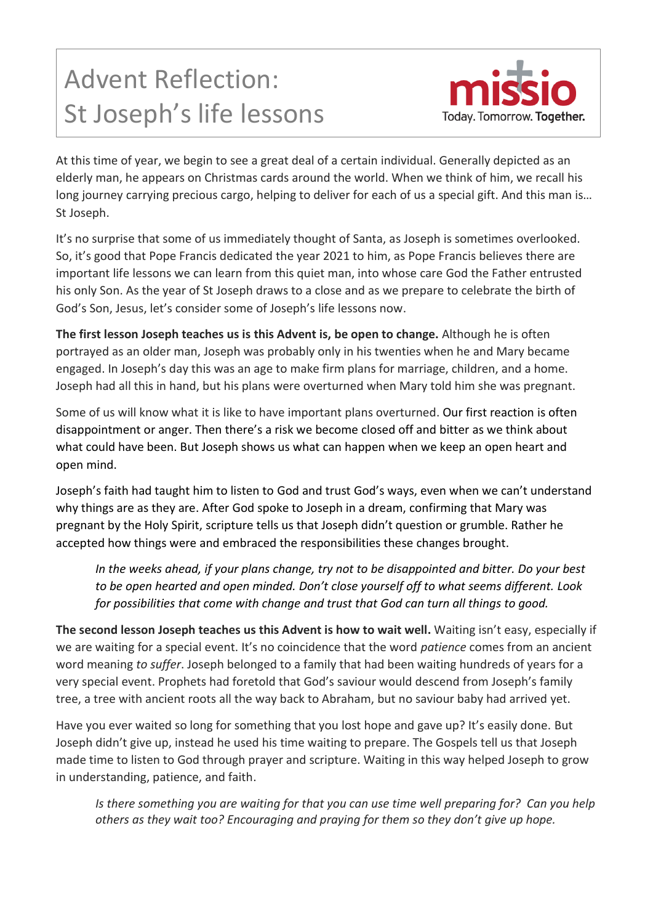## Advent Reflection: St Joseph's life lessons



At this time of year, we begin to see a great deal of a certain individual. Generally depicted as an elderly man, he appears on Christmas cards around the world. When we think of him, we recall his long journey carrying precious cargo, helping to deliver for each of us a special gift. And this man is… St Joseph.

It's no surprise that some of us immediately thought of Santa, as Joseph is sometimes overlooked. So, it's good that Pope Francis dedicated the year 2021 to him, as Pope Francis believes there are important life lessons we can learn from this quiet man, into whose care God the Father entrusted his only Son. As the year of St Joseph draws to a close and as we prepare to celebrate the birth of God's Son, Jesus, let's consider some of Joseph's life lessons now.

**The first lesson Joseph teaches us is this Advent is, be open to change.** Although he is often portrayed as an older man, Joseph was probably only in his twenties when he and Mary became engaged. In Joseph's day this was an age to make firm plans for marriage, children, and a home. Joseph had all this in hand, but his plans were overturned when Mary told him she was pregnant.

Some of us will know what it is like to have important plans overturned. Our first reaction is often disappointment or anger. Then there's a risk we become closed off and bitter as we think about what could have been. But Joseph shows us what can happen when we keep an open heart and open mind.

Joseph's faith had taught him to listen to God and trust God's ways, even when we can't understand why things are as they are. After God spoke to Joseph in a dream, confirming that Mary was pregnant by the Holy Spirit, scripture tells us that Joseph didn't question or grumble. Rather he accepted how things were and embraced the responsibilities these changes brought.

*In the weeks ahead, if your plans change, try not to be disappointed and bitter. Do your best to be open hearted and open minded. Don't close yourself off to what seems different. Look for possibilities that come with change and trust that God can turn all things to good.*

**The second lesson Joseph teaches us this Advent is how to wait well.** Waiting isn't easy, especially if we are waiting for a special event. It's no coincidence that the word *patience* comes from an ancient word meaning *to suffer*. Joseph belonged to a family that had been waiting hundreds of years for a very special event. Prophets had foretold that God's saviour would descend from Joseph's family tree, a tree with ancient roots all the way back to Abraham, but no saviour baby had arrived yet.

Have you ever waited so long for something that you lost hope and gave up? It's easily done. But Joseph didn't give up, instead he used his time waiting to prepare. The Gospels tell us that Joseph made time to listen to God through prayer and scripture. Waiting in this way helped Joseph to grow in understanding, patience, and faith.

*Is there something you are waiting for that you can use time well preparing for? Can you help others as they wait too? Encouraging and praying for them so they don't give up hope.*